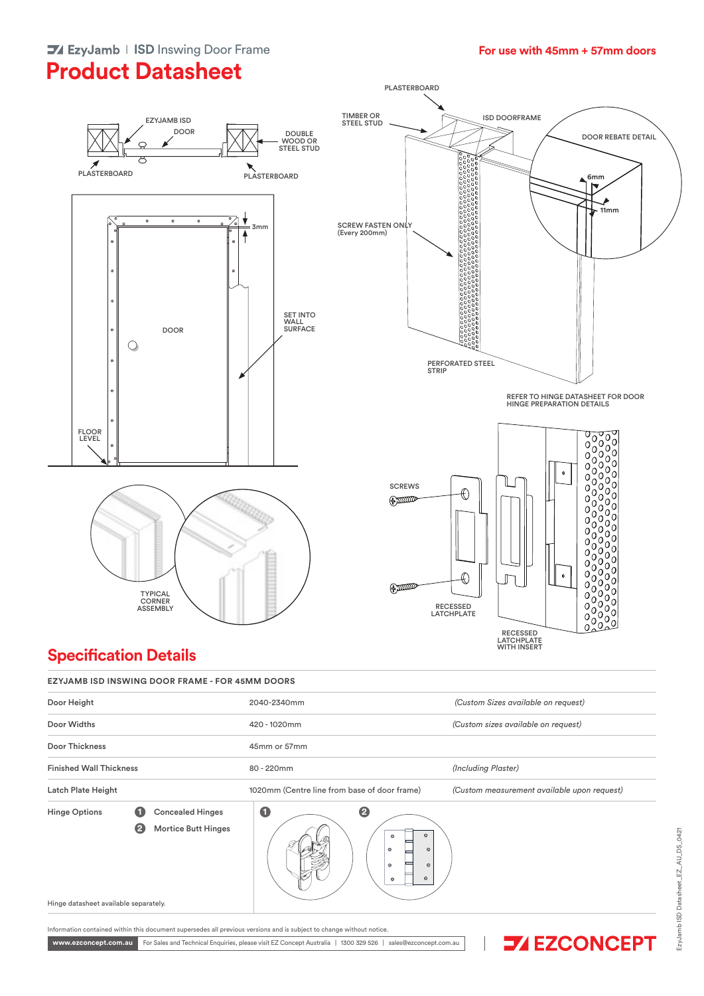### **For use with 45mm + 57mm doors**

# **Product Datasheet**







#### $T = T \cdot \frac{1}{2}$ **Specification Details**

| Door Height                                                                                                                                             | 2040-2340mm                                                                                                                      | (Custom Sizes available on request)         |
|---------------------------------------------------------------------------------------------------------------------------------------------------------|----------------------------------------------------------------------------------------------------------------------------------|---------------------------------------------|
| Door Widths                                                                                                                                             | 420 - 1020mm                                                                                                                     | (Custom sizes available on request)         |
| Door Thickness                                                                                                                                          | 45mm or 57mm                                                                                                                     |                                             |
| <b>Finished Wall Thickness</b>                                                                                                                          | 80 - 220mm                                                                                                                       | (Including Plaster)                         |
| Latch Plate Height                                                                                                                                      | 1020mm (Centre line from base of door frame)                                                                                     | (Custom measurement available upon request) |
| $\bullet$<br><b>Concealed Hinges</b><br><b>Hinge Options</b><br>$\boldsymbol{e}$<br><b>Mortice Butt Hinges</b><br>Hinge datasheet available separately. | $\bullet$<br>$\boldsymbol{e}$<br>$\bullet$<br>۰<br>⊏<br>$\circ$<br>$\circ$<br>⋿<br>I<br>$\circ$<br>$\circ$<br>$\circ$<br>$\circ$ |                                             |

www.ezconcept.com.au For Sales and Technical Enquiries, please visit EZ Concept Australia | 1300 329 526 | sales@ezconcept.com.au



 $\overline{\phantom{a}}$